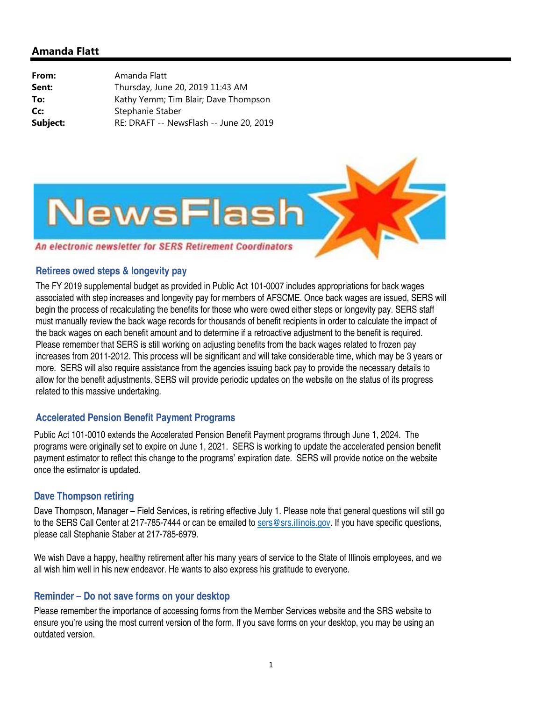

#### **Retirees owed steps & longevity pay**

The FY 2019 supplemental budget as provided in Public Act 101-0007 includes appropriations for back wages associated with step increases and longevity pay for members of AFSCME. Once back wages are issued, SERS will begin the process of recalculating the benefits for those who were owed either steps or longevity pay. SERS staff must manually review the back wage records for thousands of benefit recipients in order to calculate the impact of the back wages on each benefit amount and to determine if a retroactive adjustment to the benefit is required. Please remember that SERS is still working on adjusting benefits from the back wages related to frozen pay increases from 2011-2012. This process will be significant and will take considerable time, which may be 3 years or more. SERS will also require assistance from the agencies issuing back pay to provide the necessary details to allow for the benefit adjustments. SERS will provide periodic updates on the website on the status of its progress related to this massive undertaking.

# **Accelerated Pension Benefit Payment Programs**

Public Act 101-0010 extends the Accelerated Pension Benefit Payment programs through June 1, 2024. The programs were originally set to expire on June 1, 2021. SERS is working to update the accelerated pension benefit payment estimator to reflect this change to the programs' expiration date. SERS will provide notice on the website once the estimator is updated.

### **Dave Thompson retiring**

Dave Thompson, Manager – Field Services, is retiring effective July 1. Please note that general questions will still go to the SERS Call Center at 217-785-7444 or can be emailed to sers@srs.illinois.gov. If you have specific questions, please call Stephanie Staber at 217-785-6979.

We wish Dave a happy, healthy retirement after his many years of service to the State of Illinois employees, and we all wish him well in his new endeavor. He wants to also express his gratitude to everyone.

### **Reminder – Do not save forms on your desktop**

Please remember the importance of accessing forms from the Member Services website and the SRS website to ensure you're using the most current version of the form. If you save forms on your desktop, you may be using an outdated version.